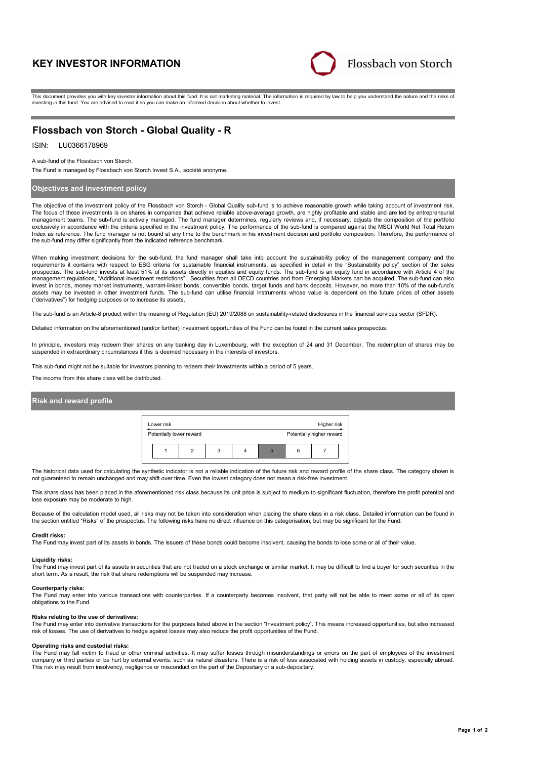# **KEY INVESTOR INFORMATION**



This document provides you with key investor information about this fund. It is not marketing material. The information is required by law to help you understand the nature and the risks of investing in this fund. You are advised to read it so you can make an informed decision about whether to invest.

# **Flossbach von Storch - Global Quality - R**

## ISIN: LU0366178969

#### A sub-fund of the Flossbach von Storch.

The Fund is managed by Flossbach von Storch Invest S.A., société anonyme.

### **Objectives and investment policy**

The objective of the investment policy of the Flossbach von Storch - Global Quality sub-fund is to achieve reasonable growth while taking account of investment risk. The focus of these investments is on shares in companies that achieve reliable above-average growth, are highly profitable and stable and are led by entrepreneurial management teams. The sub-fund is actively managed. The fund manager determines, regularly reviews and, if necessary, adjusts the composition of the portfolio exclusively in accordance with the criteria specified in the investment policy. The performance of the sub-fund is compared against the MSCI World Net Total Return Index as reference. The fund manager is not bound at any time to the benchmark in his investment decision and portfolio composition. Therefore, the performance of the sub-fund may differ significantly from the indicated reference benchmark.

When making investment decisions for the sub-fund, the fund manager shall take into account the sustainability policy of the management company and the requirements it contains with respect to ESG criteria for sustainable financial instruments, as specified in detail in the "Sustainability policy" section of the sales<br>prospectus. The sub-fund invests at least 51% of its a management regulations, "Additional investment restrictions". Securities from all OECD countries and from Emerging Markets can be acquired. The sub-fund can also invest in bonds, money market instruments, warrant-linked bonds, convertible bonds, target funds and bank deposits. However, no more than 10% of the sub-fund's assets may be invested in other investment funds. The sub-fund can utilise financial instruments whose value is dependent on the future prices of other assets ("derivatives") for hedging purposes or to increase its assets.

The sub-fund is an Article-8 product within the meaning of Regulation (EU) 2019/2088 on sustainability-related disclosures in the financial services sector (SFDR).

Detailed information on the aforementioned (and/or further) investment opportunities of the Fund can be found in the current sales prospectus.

In principle, investors may redeem their shares on any banking day in Luxembourg, with the exception of 24 and 31 December. The redemption of shares may be suspended in extraordinary circumstances if this is deemed necessary in the interests of investors.

This sub-fund might not be suitable for investors planning to redeem their investments within a period of 5 years.

The income from this share class will be distributed.

### **Risk and reward profile**



The historical data used for calculating the synthetic indicator is not a reliable indication of the future risk and reward profile of the share class. The category shown is not guaranteed to remain unchanged and may shift over time. Even the lowest category does not mean a risk-free investment.

This share class has been placed in the aforementioned risk class because its unit price is subject to medium to significant fluctuation, therefore the profit potential and loss exposure may be moderate to high.

Because of the calculation model used, all risks may not be taken into consideration when placing the share class in a risk class. Detailed information can be found in the section entitled "Risks" of the prospectus. The following risks have no direct influence on this categorisation, but may be significant for the Fund:

#### **Credit risks:**

The Fund may invest part of its assets in bonds. The issuers of these bonds could become insolvent, causing the bonds to lose some or all of their value.

#### **Liquidity risks:**

The Fund may invest part of its assets in securities that are not traded on a stock exchange or similar market. It may be difficult to find a buyer for such securities in the short term. As a result, the risk that share redemptions will be suspended may increase.

#### **Counterparty risks:**

The Fund may enter into various transactions with counterparties. If a counterparty becomes insolvent, that party will not be able to meet some or all of its open obligations to the Fund.

#### **Risks relating to the use of derivatives:**

The Fund may enter into derivative transactions for the purposes listed above in the section "Investment policy". This means increased opportunities, but also increased risk of losses. The use of derivatives to hedge against losses may also reduce the profit opportunities of the Fund.

#### **Operating risks and custodial risks:**

The Fund may fall victim to fraud or other criminal activities. It may suffer losses through misunderstandings or errors on the part of employees of the investment company or third parties or be hurt by external events, such as natural disasters. There is a risk of loss associated with holding assets in custody, especially abroad. This risk may result from insolvency, negligence or misconduct on the part of the Depositary or a sub-depositary.